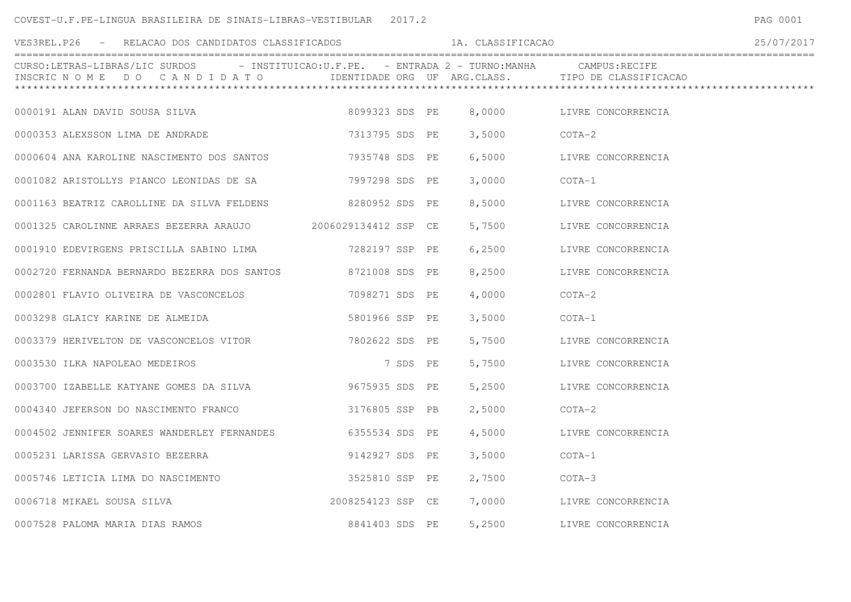## COVEST-U.F.PE-LINGUA BRASILEIRA DE SINAIS-LIBRAS-VESTIBULAR 2017.2

| VES3REL.P26 - RELACAO DOS CANDIDATOS CLASSIFICADOS                                                                        |                   |          | 1A. CLASSIFICACAO |                                                    | 25/07/2017 |
|---------------------------------------------------------------------------------------------------------------------------|-------------------|----------|-------------------|----------------------------------------------------|------------|
| CURSO:LETRAS-LIBRAS/LIC SURDOS - INSTITUICAO:U.F.PE. - ENTRADA 2 - TURNO:MANHA CAMPUS:RECIFE<br>INSCRIC NOME DO CANDIDATO |                   |          |                   | IDENTIDADE ORG UF ARG.CLASS. TIPO DE CLASSIFICACAO |            |
| 0000191 ALAN DAVID SOUSA SILVA                                                                                            | 8099323 SDS PE    |          |                   | 8,0000 LIVRE CONCORRENCIA                          |            |
| 0000353 ALEXSSON LIMA DE ANDRADE                                                                                          | 7313795 SDS PE    |          | 3,5000            | COTA-2                                             |            |
| 0000604 ANA KAROLINE NASCIMENTO DOS SANTOS 7935748 SDS PE                                                                 |                   |          | 6,5000            | LIVRE CONCORRENCIA                                 |            |
| 0001082 ARISTOLLYS PIANCO LEONIDAS DE SA                                                                                  | 7997298 SDS PE    |          | 3,0000            | COTA-1                                             |            |
| 0001163 BEATRIZ CAROLLINE DA SILVA FELDENS 8280952 SDS PE                                                                 |                   |          |                   | 8,5000 LIVRE CONCORRENCIA                          |            |
| 0001325 CAROLINNE ARRAES BEZERRA ARAUJO 2006029134412 SSP CE                                                              |                   |          |                   | 5,7500 LIVRE CONCORRENCIA                          |            |
| 0001910 EDEVIRGENS PRISCILLA SABINO LIMA 60001910 SSP PE                                                                  |                   |          | 6,2500            | LIVRE CONCORRENCIA                                 |            |
| 0002720 FERNANDA BERNARDO BEZERRA DOS SANTOS 6721008 SDS PE                                                               |                   |          | 8,2500            | LIVRE CONCORRENCIA                                 |            |
|                                                                                                                           |                   |          | 4,0000            | $COTA-2$                                           |            |
| 0003298 GLAICY KARINE DE ALMEIDA                                                                                          | 5801966 SSP PE    |          | 3,5000            | COTA-1                                             |            |
| 0003379 HERIVELTON DE VASCONCELOS VITOR 7802622 SDS PE                                                                    |                   |          | 5,7500            | LIVRE CONCORRENCIA                                 |            |
| 0003530 ILKA NAPOLEAO MEDEIROS                                                                                            |                   | 7 SDS PE | 5,7500            | LIVRE CONCORRENCIA                                 |            |
| 0003700 IZABELLE KATYANE GOMES DA SILVA 6003700 IZABELLE KATYANE GOMES DA SILVA                                           |                   |          |                   | 5,2500 LIVRE CONCORRENCIA                          |            |
| 0004340 JEFERSON DO NASCIMENTO FRANCO                                                                                     | 3176805 SSP PB    |          | 2,5000            | $COTA-2$                                           |            |
| 0004502 JENNIFER SOARES WANDERLEY FERNANDES                                                                               | 6355534 SDS PE    |          | 4,5000            | LIVRE CONCORRENCIA                                 |            |
| 0005231 LARISSA GERVASIO BEZERRA                                                                                          | 9142927 SDS PE    |          | 3,5000            | COTA-1                                             |            |
| 0005746 LETICIA LIMA DO NASCIMENTO                                                                                        | 3525810 SSP PE    |          | 2,7500            | COTA-3                                             |            |
| 0006718 MIKAEL SOUSA SILVA                                                                                                | 2008254123 SSP CE |          |                   | 7,0000 LIVRE CONCORRENCIA                          |            |
| 0007528 PALOMA MARIA DIAS RAMOS                                                                                           | 8841403 SDS PE    |          | 5,2500            | LIVRE CONCORRENCIA                                 |            |

PAG 0001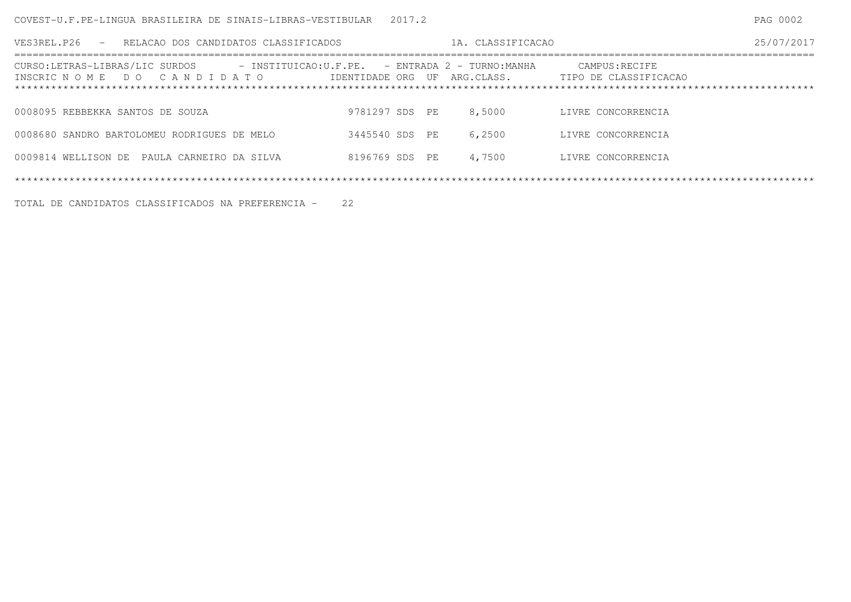| VES3REL.P26<br>- RELACAO DOS CANDIDATOS CLASSIFICADOS                                                       |                | 1A. CLASSIFICACAO |                                                                     | 25/07/2017 |
|-------------------------------------------------------------------------------------------------------------|----------------|-------------------|---------------------------------------------------------------------|------------|
| CURSO:LETRAS-LIBRAS/LIC SURDOS - INSTITUICAO:U.F.PE. - ENTRADA 2 - TURNO:MANHA<br>INSCRIC NOME DO CANDIDATO |                |                   | CAMPUS:RECIFE<br>IDENTIDADE ORG UF ARG.CLASS. TIPO DE CLASSIFICACAO |            |
| 0008095 REBBEKKA SANTOS DE SOUZA                                                                            | 9781297 SDS PE | 8,5000            | LIVRE CONCORRENCIA                                                  |            |
| 0008680 SANDRO BARTOLOMEU RODRIGUES DE MELO                                                                 | 3445540 SDS PE | 6,2500            | LIVRE CONCORRENCIA                                                  |            |
| 0009814 WELLISON DE PAULA CARNEIRO DA SILVA                                                                 | 8196769 SDS PE | 4,7500            | LIVRE CONCORRENCIA                                                  |            |
|                                                                                                             |                |                   |                                                                     |            |

TOTAL DE CANDIDATOS CLASSIFICADOS NA PREFERENCIA - 22